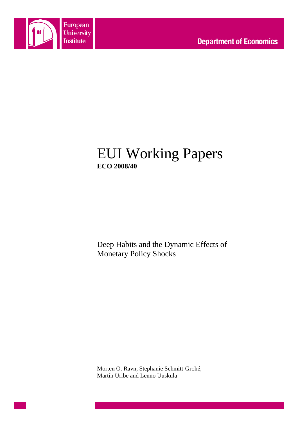

# EUI Working Papers **ECO 2008/40**

Deep Habits and the Dynamic Effects of Monetary Policy Shocks

Morten O. Ravn, Stephanie Schmitt-Grohé, Martín Uribe and Lenno Uuskula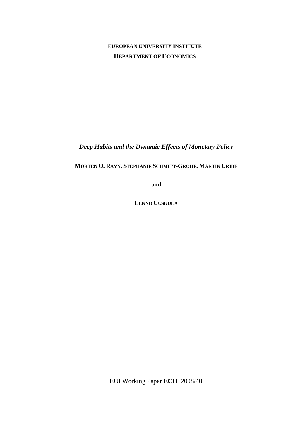## **EUROPEAN UNIVERSITY INSTITUTE DEPARTMENT OF ECONOMICS**

*Deep Habits and the Dynamic Effects of Monetary Policy* 

**MORTEN O. RAVN, STEPHANIE SCHMITT-GROHÉ, MARTÍN URIBE**

**and**

**LENNO UUSKULA**

EUI Working Paper **ECO** 2008/40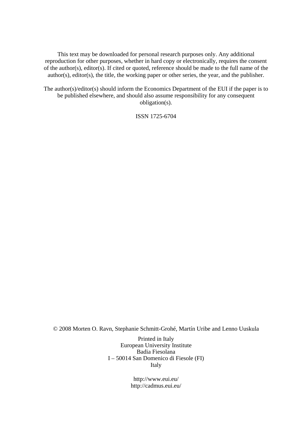This text may be downloaded for personal research purposes only. Any additional reproduction for other purposes, whether in hard copy or electronically, requires the consent of the author(s), editor(s). If cited or quoted, reference should be made to the full name of the author(s), editor(s), the title, the working paper or other series, the year, and the publisher.

The author(s)/editor(s) should inform the Economics Department of the EUI if the paper is to be published elsewhere, and should also assume responsibility for any consequent obligation(s).

ISSN 1725-6704

© 2008 Morten O. Ravn, Stephanie Schmitt-Grohé, Martín Uribe and Lenno Uuskula

Printed in Italy European University Institute Badia Fiesolana I – 50014 San Domenico di Fiesole (FI) Italy

> http://www.eui.eu/ http://cadmus.eui.eu/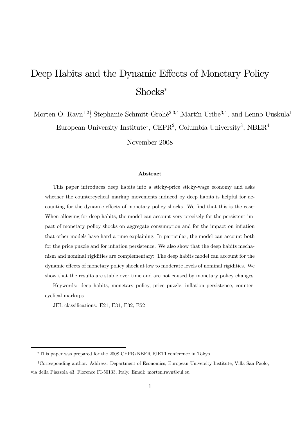# Deep Habits and the Dynamic Effects of Monetary Policy Shocks

Morten O. Ravn<sup>1,2</sup><sup>†</sup>, Stephanie Schmitt-Grohė<sup>2,3,4</sup>, Martín Uribe<sup>3,4</sup>, and Lenno Uuskula<sup>1</sup> European University Institute<sup>1</sup>, CEPR<sup>2</sup>, Columbia University<sup>3</sup>, NBER<sup>4</sup>

November 2008

#### Abstract

This paper introduces deep habits into a sticky-price sticky-wage economy and asks whether the countercyclical markup movements induced by deep habits is helpful for accounting for the dynamic effects of monetary policy shocks. We find that this is the case: When allowing for deep habits, the model can account very precisely for the persistent impact of monetary policy shocks on aggregate consumption and for the impact on inflation that other models have hard a time explaining. In particular, the model can account both for the price puzzle and for inflation persistence. We also show that the deep habits mechanism and nominal rigidities are complementary: The deep habits model can account for the dynamic effects of monetary policy shock at low to moderate levels of nominal rigidities. We show that the results are stable over time and are not caused by monetary policy changes.

Keywords: deep habits, monetary policy, price puzzle, inflation persistence, countercyclical markups

JEL classifications: E21, E31, E32, E52

This paper was prepared for the 2008 CEPR/NBER RIETI conference in Tokyo.

<sup>†</sup>Corresponding author. Address: Department of Economics, European University Institute, Villa San Paolo, via della Piazzola 43, Florence FI-50133, Italy. Email: morten.ravn@eui.eu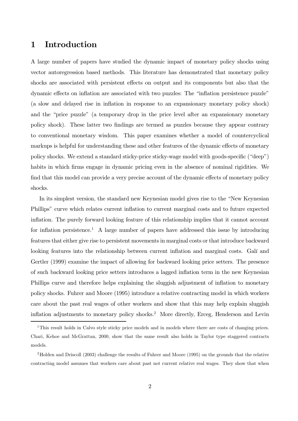## 1 Introduction

A large number of papers have studied the dynamic impact of monetary policy shocks using vector autoregression based methods. This literature has demonstrated that monetary policy shocks are associated with persistent effects on output and its components but also that the dynamic effects on inflation are associated with two puzzles: The "inflation persistence puzzle" (a slow and delayed rise in inflation in response to an expansionary monetary policy shock) and the "price puzzle" (a temporary drop in the price level after an expansionary monetary policy shock). These latter two findings are termed as puzzles because they appear contrary to conventional monetary wisdom. This paper examines whether a model of countercyclical markups is helpful for understanding these and other features of the dynamic effects of monetary policy shocks. We extend a standard sticky-price sticky-wage model with goods-specific ("deep") habits in which firms engage in dynamic pricing even in the absence of nominal rigidities. We find that this model can provide a very precise account of the dynamic effects of monetary policy shocks.

In its simplest version, the standard new Keynesian model gives rise to the "New Keynesian Phillips" curve which relates current inflation to current marginal costs and to future expected inflation. The purely forward looking feature of this relationship implies that it cannot account for inflation persistence.<sup>1</sup> A large number of papers have addressed this issue by introducing features that either give rise to persistent movements in marginal costs or that introduce backward looking features into the relationship between current inflation and marginal costs. Galí and Gertler (1999) examine the impact of allowing for backward looking price setters. The presence of such backward looking price setters introduces a lagged inflation term in the new Keynesian Phillips curve and therefore helps explaining the sluggish adjustment of inflation to monetary policy shocks. Fuhrer and Moore (1995) introduce a relative contracting model in which workers care about the past real wages of other workers and show that this may help explain sluggish inflation adjustments to monetary policy shocks.2 More directly, Erceg, Henderson and Levin

<sup>&</sup>lt;sup>1</sup>This result holds in Calvo style sticky price models and in models where there are costs of changing prices. Chari, Kehoe and McGrattan, 2000, show that the same result also holds in Taylor type staggered contracts models.

<sup>2</sup>Holden and Driscoll (2003) challenge the results of Fuhrer and Moore (1995) on the grounds that the relative contracting model assumes that workers care about past not current relative real wages. They show that when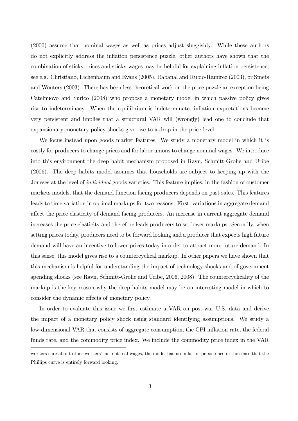(2000) assume that nominal wages as well as prices adjust sluggishly. While these authors do not explicitly address the inflation persistence puzzle, other authors have shown that the combination of sticky prices and sticky wages may be helpful for explaining inflation persistence, see e.g. Christiano, Eichenbaum and Evans (2005), Rabanal and Rubio-Ramirez (2003), or Smets and Wouters (2003). There has been less theoretical work on the price puzzle an exception being Catelnuovo and Surico (2008) who propose a monetary model in which passive policy gives rise to indeterminacy. When the equilibrium is indeterminate, inflation expectations become very persistent and implies that a structural VAR will (wrongly) lead one to conclude that expansionary monetary policy shocks give rise to a drop in the price level.

We focus instead upon goods market features. We study a monetary model in which it is costly for producers to change prices and for labor unions to change nominal wages. We introduce into this environment the deep habit mechanism proposed in Ravn, Schmitt-Grohe and Uribe (2006). The deep habits model assumes that households are subject to keeping up with the Joneses at the level of individual goods varieties. This feature implies, in the fashion of customer markets models, that the demand function facing producers depends on past sales. This features leads to time variation in optimal markups for two reasons. First, variations in aggregate demand affect the price elasticity of demand facing producers. An increase in current aggregate demand increases the price elasticity and therefore leads producers to set lower markups. Secondly, when setting prices today, producers need to be forward looking and a producer that expects high future demand will have an incentive to lower prices today in order to attract more future demand. In this sense, this model gives rise to a countercyclical markup. In other papers we have shown that this mechanism is helpful for understanding the impact of technology shocks and of government spending shocks (see Ravn, Schmitt-Grohe and Uribe, 2006, 2008). The countercyclicality of the markup is the key reason why the deep habits model may be an interesting model in which to consider the dynamic effects of monetary policy.

In order to evaluate this issue we first estimate a VAR on post-war U.S. data and derive the impact of a monetary policy shock using standard identifying assumptions. We study a low-dimensional VAR that consists of aggregate consumption, the CPI inflation rate, the federal funds rate, and the commodity price index. We include the commodity price index in the VAR

workers care about other workers' current real wages, the model has no inflation persistence in the sense that the Phillips curve is entirely forward looking.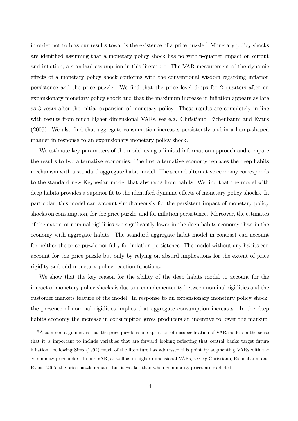in order not to bias our results towards the existence of a price puzzle.3 Monetary policy shocks are identified assuming that a monetary policy shock has no within-quarter impact on output and inflation, a standard assumption in this literature. The VAR measurement of the dynamic effects of a monetary policy shock conforms with the conventional wisdom regarding inflation persistence and the price puzzle. We find that the price level drops for 2 quarters after an expansionary monetary policy shock and that the maximum increase in inflation appears as late as 3 years after the initial expansion of monetary policy. These results are completely in line with results from much higher dimensional VARs, see e.g. Christiano, Eichenbaum and Evans (2005). We also find that aggregate consumption increases persistently and in a hump-shaped manner in response to an expansionary monetary policy shock.

We estimate key parameters of the model using a limited information approach and compare the results to two alternative economies. The first alternative economy replaces the deep habits mechanism with a standard aggregate habit model. The second alternative economy corresponds to the standard new Keynesian model that abstracts from habits. We find that the model with deep habits provides a superior fit to the identified dynamic effects of monetary policy shocks. In particular, this model can account simultaneously for the persistent impact of monetary policy shocks on consumption, for the price puzzle, and for inflation persistence. Moreover, the estimates of the extent of nominal rigidities are significantly lower in the deep habits economy than in the economy with aggregate habits. The standard aggregate habit model in contrast can account for neither the price puzzle nor fully for inflation persistence. The model without any habits can account for the price puzzle but only by relying on absurd implications for the extent of price rigidity and odd monetary policy reaction functions.

We show that the key reason for the ability of the deep habits model to account for the impact of monetary policy shocks is due to a complementarity between nominal rigidities and the customer markets feature of the model. In response to an expansionary monetary policy shock, the presence of nominal rigidities implies that aggregate consumption increases. In the deep habits economy the increase in consumption gives producers an incentive to lower the markup.

<sup>&</sup>lt;sup>3</sup>A common argument is that the price puzzle is an expression of misspecification of VAR models in the sense that it is important to include variables that are forward looking reflecting that central banks target future inflation. Following Sims (1992) much of the literature has addressed this point by augmenting VARs with the commodity price index. In our VAR, as well as in higher dimensional VARs, see e.g.Christiano, Eichenbaum and Evans, 2005, the price puzzle remains but is weaker than when commodity prices are excluded.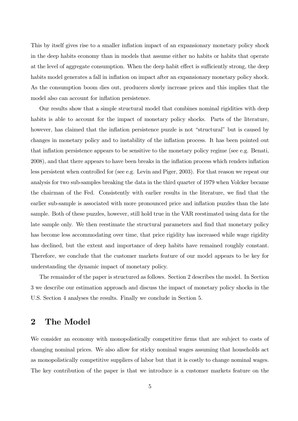This by itself gives rise to a smaller inflation impact of an expansionary monetary policy shock in the deep habits economy than in models that assume either no habits or habits that operate at the level of aggregate consumption. When the deep habit effect is sufficiently strong, the deep habits model generates a fall in inflation on impact after an expansionary monetary policy shock. As the consumption boom dies out, producers slowly increase prices and this implies that the model also can account for inflation persistence.

Our results show that a simple structural model that combines nominal rigidities with deep habits is able to account for the impact of monetary policy shocks. Parts of the literature, however, has claimed that the inflation persistence puzzle is not "structural" but is caused by changes in monetary policy and to instability of the inflation process. It has been pointed out that inflation persistence appears to be sensitive to the monetary policy regime (see e.g. Benati, 2008), and that there appears to have been breaks in the inflation process which renders inflation less persistent when controlled for (see e.g. Levin and Piger, 2003). For that reason we repeat our analysis for two sub-samples breaking the data in the third quarter of 1979 when Volcker became the chairman of the Fed. Consistently with earlier results in the literature, we find that the earlier sub-sample is associated with more pronounced price and inflation puzzles than the late sample. Both of these puzzles, however, still hold true in the VAR reestimated using data for the late sample only. We then reestimate the structural parameters and find that monetary policy has become less accommodating over time, that price rigidity has increased while wage rigidity has declined, but the extent and importance of deep habits have remained roughly constant. Therefore, we conclude that the customer markets feature of our model appears to be key for understanding the dynamic impact of monetary policy.

The remainder of the paper is structured as follows. Section 2 describes the model. In Section 3 we describe our estimation approach and discuss the impact of monetary policy shocks in the U.S. Section 4 analyses the results. Finally we conclude in Section 5.

## 2 The Model

We consider an economy with monopolistically competitive firms that are subject to costs of changing nominal prices. We also allow for sticky nominal wages assuming that households act as monopolistically competitive suppliers of labor but that it is costly to change nominal wages. The key contribution of the paper is that we introduce is a customer markets feature on the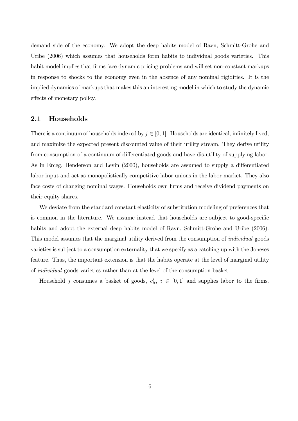demand side of the economy. We adopt the deep habits model of Ravn, Schmitt-Grohe and Uribe (2006) which assumes that households form habits to individual goods varieties. This habit model implies that firms face dynamic pricing problems and will set non-constant markups in response to shocks to the economy even in the absence of any nominal rigidities. It is the implied dynamics of markups that makes this an interesting model in which to study the dynamic effects of monetary policy.

### 2.1 Households

There is a continuum of households indexed by  $j \in [0, 1]$ . Households are identical, infinitely lived, and maximize the expected present discounted value of their utility stream. They derive utility from consumption of a continuum of differentiated goods and have dis-utility of supplying labor. As in Erceg, Henderson and Levin (2000), households are assumed to supply a differentiated labor input and act as monopolistically competitive labor unions in the labor market. They also face costs of changing nominal wages. Households own firms and receive dividend payments on their equity shares.

We deviate from the standard constant elasticity of substitution modeling of preferences that is common in the literature. We assume instead that households are subject to good-specific habits and adopt the external deep habits model of Ravn, Schmitt-Grohe and Uribe (2006). This model assumes that the marginal utility derived from the consumption of *individual* goods varieties is subject to a consumption externality that we specify as a catching up with the Joneses feature. Thus, the important extension is that the habits operate at the level of marginal utility of individual goods varieties rather than at the level of the consumption basket.

Household j consumes a basket of goods,  $c_{it}^j$ ,  $i \in [0,1]$  and supplies labor to the firms.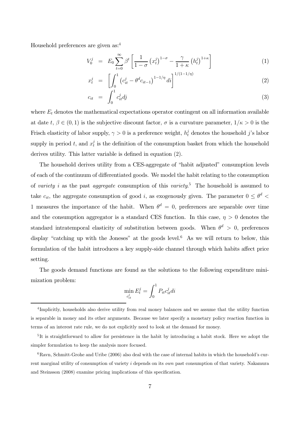Household preferences are given as:4

$$
V_0^j = E_0 \sum_{t=0}^{\infty} \beta^t \left[ \frac{1}{1-\sigma} \left( x_t^j \right)^{1-\sigma} - \frac{\gamma}{1+\kappa} \left( h_t^j \right)^{1+\kappa} \right] \tag{1}
$$

$$
x_t^j = \left[ \int_0^1 \left( c_{it}^j - \theta^d c_{it-1} \right)^{1-1/\eta} dt \right]^{1/(1-1/\eta)}
$$
(2)

$$
c_{it} = \int_0^1 c_{it}^j dj \tag{3}
$$

where  $E_t$  denotes the mathematical expectations operator contingent on all information available at date  $t, \beta \in (0, 1)$  is the subjective discount factor,  $\sigma$  is a curvature parameter,  $1/\kappa > 0$  is the Frisch elasticity of labor supply,  $\gamma > 0$  is a preference weight,  $h_t^j$  denotes the household j's labor  $\gamma$ supply in period t, and  $x_t^j$  is the definition of the consumption basket from which the household derives utility. This latter variable is defined in equation (2).

The household derives utility from a CES-aggregate of "habit adjusted" consumption levels of each of the continuum of differentiated goods. We model the habit relating to the consumption of variety i as the past aggregate consumption of this variety.<sup>5</sup> The household is assumed to take  $c_{it}$ , the aggregate consumption of good i, as exogenously given. The parameter  $0 \le \theta^d$ 1 measures the importance of the habit. When  $\theta^d = 0$ , preferences are separable over time and the consumption aggregator is a standard CES function. In this case,  $\eta > 0$  denotes the standard intratemporal elasticity of substitution between goods. When  $\theta^d > 0$ , preferences display "catching up with the Joneses" at the goods level.<sup>6</sup> As we will return to below, this formulation of the habit introduces a key supply-side channel through which habits affect price setting.

The goods demand functions are found as the solutions to the following expenditure minimization problem:  $\overline{c}$ 1

$$
\min_{c_{it}^j} E_t^j = \int_0^1 P_{it} c_{it}^j di
$$

<sup>4</sup> Implicitly, households also derive utility from real money balances and we assume that the utility function is separable in money and its other arguments. Because we later specify a monetary policy reaction function in terms of an interest rate rule, we do not explicitly need to look at the demand for money.

<sup>&</sup>lt;sup>5</sup>It is straightforward to allow for persistence in the habit by introducing a habit stock. Here we adopt the simpler formulation to keep the analysis more focused.

 $6$ Ravn, Schmitt-Grohe and Uribe (2006) also deal with the case of internal habits in which the household's current marginal utility of consumption of variety  $i$  depends on its *own* past consumption of that variety. Nakamura and Steinsson (2008) examine pricing implications of this specification.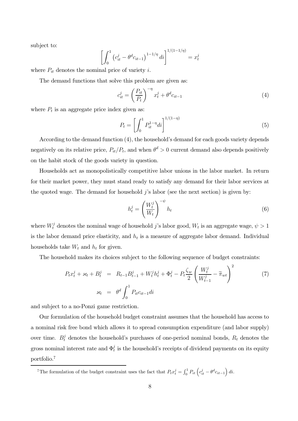subject to:

$$
\left[\int_0^1 \left(c_{it}^j - \theta^d c_{it-1}\right)^{1-1/\eta} di\right]^{1/(1-1/\eta)} = x_t^j
$$

where  $P_{it}$  denotes the nominal price of variety i.

The demand functions that solve this problem are given as:

$$
c_{it}^j = \left(\frac{P_{it}}{P_t}\right)^{-\eta} x_t^j + \theta^d c_{it-1}
$$
\n
$$
\tag{4}
$$

where  $P_t$  is an aggregate price index given as:

$$
P_t = \left[ \int_0^1 P_{it}^{1-\eta} di \right]^{1/(1-\eta)}
$$
\n(5)

According to the demand function (4), the household's demand for each goods variety depends negatively on its relative price,  $P_{it}/P_t$ , and when  $\theta^d > 0$  current demand also depends positively on the habit stock of the goods variety in question.

Households act as monopolistically competitive labor unions in the labor market. In return for their market power, they must stand ready to satisfy any demand for their labor services at the quoted wage. The demand for household  $\hat{\jmath}$ 's labor (see the next section) is given by:

$$
h_t^j = \left(\frac{W_t^j}{W_t}\right)^{-\psi} h_t \tag{6}
$$

where  $W_t^j$  denotes the nominal wage of household j's labor good,  $W_t$  is an aggregate wage,  $\psi > 1$ is the labor demand price elasticity, and  $h_t$  is a measure of aggregate labor demand. Individual households take  $W_t$  and  $h_t$  for given.

The household makes its choices subject to the following sequence of budget constraints: Ã

$$
P_{t}x_{t}^{j} + \varkappa_{t} + B_{t}^{j} = R_{t-1}B_{t-1}^{j} + W_{t}^{j}h_{t}^{j} + \Phi_{t}^{j} - P_{t}\frac{\zeta_{w}}{2}\left(\frac{W_{t}^{j}}{W_{t-1}^{j}} - \tilde{\pi}_{wt}\right)^{2}
$$
(7)  

$$
\varkappa_{t} = \theta^{d} \int_{0}^{1} P_{it}c_{it-1}di
$$

and subject to a no-Ponzi game restriction.

Our formulation of the household budget constraint assumes that the household has access to a nominal risk free bond which allows it to spread consumption expenditure (and labor supply) over time.  $B_t^j$  denotes the household's purchases of one-period nominal bonds,  $R_t$  denotes the gross nominal interest rate and  $\Phi_t^j$  is the household's receipts of dividend payments on its equity portfolio.7

<sup>&</sup>lt;sup>7</sup>The formulation of the budget constraint uses the fact that  $P_t x_t^j = \int_0^1 P_{it} \left( c_{it}^j - \theta^d c_{it-1} \right)$  $di.$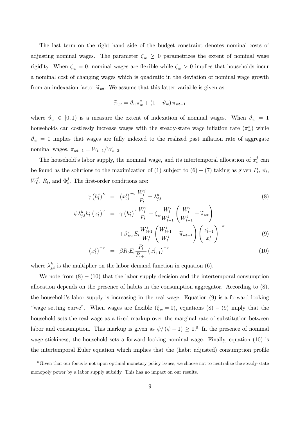The last term on the right hand side of the budget constraint denotes nominal costs of adjusting nominal wages. The parameter  $\zeta_w \geq 0$  parametrizes the extent of nominal wage rigidity. When  $\zeta_w = 0$ , nominal wages are flexible while  $\zeta_w > 0$  implies that households incur a nominal cost of changing wages which is quadratic in the deviation of nominal wage growth from an indexation factor  $\tilde{\pi}_{wt}$ . We assume that this latter variable is given as:

$$
\widetilde{\pi}_{wt} = \vartheta_w \pi_w^* + (1 - \vartheta_w) \pi_{wt-1}
$$

where  $\vartheta_w \in [0, 1)$  is a measure the extent of indexation of nominal wages. When  $\vartheta_w = 1$ households can costlessly increase wages with the steady-state wage inflation rate  $(\pi_w^*)$  while  $\vartheta_w = 0$  implies that wages are fully indexed to the realized past inflation rate of aggregate nominal wages,  $\pi_{wt-1} = W_{t-1}/W_{t-2}$ .

The household's labor supply, the nominal wage, and its intertemporal allocation of  $x_t^j$  can be found as the solutions to the maximization of (1) subject to  $(6) - (7)$  taking as given  $P_t$ ,  $\vartheta_t$ ,  $W_0^j$ ,  $R_t$ , and  $\Phi_t^j$ . The first-order conditions are:

$$
\gamma \left(h_t^j\right)^\kappa = \left(x_t^j\right)^{-\sigma} \frac{W_t^j}{P_t} - \lambda_{j,t}^h
$$
\n
$$
\psi \lambda_{j,t}^h h_t^j \left(x_t^j\right)^\sigma = \gamma \left(h_t^j\right)^\kappa \frac{W_t^j}{P_t} - \zeta_w \frac{W_t^j}{W_{t-1}^j} \left(\frac{W_t^j}{W_{t-1}^j} - \widetilde{\pi}_{wt}\right)
$$
\n(8)

$$
+\beta\zeta_w E_t \frac{W_{t+1}^j}{W_t^j} \left(\frac{W_{t+1}^j}{W_t^j} - \tilde{\pi}_{wt+1}\right) \left(\frac{x_{t+1}^j}{x_t^j}\right)^{-\sigma} \tag{9}
$$

$$
\left(x_t^j\right)^{-\sigma} = \beta R_t E_t \frac{P_t}{P_{t+1}} \left(x_{t+1}^j\right)^{-\sigma} \tag{10}
$$

where  $\lambda_{j,t}^h$  is the multiplier on the labor demand function in equation (6).

We note from  $(8) - (10)$  that the labor supply decision and the intertemporal consumption allocation depends on the presence of habits in the consumption aggregator. According to (8), the household's labor supply is increasing in the real wage. Equation (9) is a forward looking "wage setting curve". When wages are flexible  $(\xi_w = 0)$ , equations  $(8) - (9)$  imply that the household sets the real wage as a fixed markup over the marginal rate of substitution between labor and consumption. This markup is given as  $\psi/(\psi - 1) \ge 1$ .<sup>8</sup> In the presence of nominal wage stickiness, the household sets a forward looking nominal wage. Finally, equation (10) is the intertemporal Euler equation which implies that the (habit adjusted) consumption profile

<sup>&</sup>lt;sup>8</sup>Given that our focus is not upon optimal monetary policy issues, we choose not to neutralize the steady-state monopoly power by a labor supply subsidy. This has no impact on our results.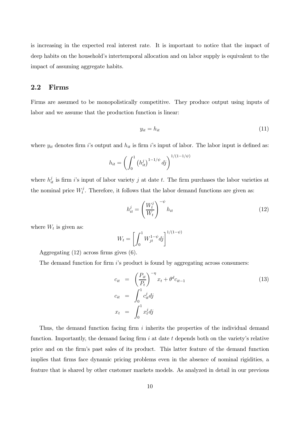is increasing in the expected real interest rate. It is important to notice that the impact of deep habits on the household's intertemporal allocation and on labor supply is equivalent to the impact of assuming aggregate habits.

### 2.2 Firms

Firms are assumed to be monopolistically competitive. They produce output using inputs of labor and we assume that the production function is linear:

$$
y_{it} = h_{it} \tag{11}
$$

where  $y_{it}$  denotes firm i's output and  $h_{it}$  is firm i's input of labor. The labor input is defined as:

$$
h_{it} = \left(\int_0^1 (h_{it}^j)^{1-1/\psi} \, dj\right)^{1/(1-1/\psi)}
$$

where  $h_{it}^{j}$  is firm *i*'s input of labor variety *j* at date *t*. The firm purchases the labor varieties at the nominal price  $W_t^j$ . Therefore, it follows that the labor demand functions are given as:

$$
h_{it}^{j} = \left(\frac{W_t^{j}}{W_t}\right)^{-\psi} h_{it}
$$
\n(12)

where  $W_t$  is given as:

$$
W_t = \left[ \int_0^1 W_{jt}^{1-\psi} dj \right]^{1/(1-\psi)}
$$

Aggregating (12) across firms gives (6).

The demand function for firm  $i$ 's product is found by aggregating across consumers:

$$
c_{it} = \left(\frac{P_{it}}{P_t}\right)^{-\eta} x_t + \theta^d c_{it-1}
$$
  
\n
$$
c_{it} = \int_0^1 c_{it}^j dj
$$
  
\n
$$
x_t = \int_0^1 x_t^j dj
$$
\n(13)

Thus, the demand function facing firm  $i$  inherits the properties of the individual demand function. Importantly, the demand facing firm  $i$  at date  $t$  depends both on the variety's relative price and on the firm's past sales of its product. This latter feature of the demand function implies that firms face dynamic pricing problems even in the absence of nominal rigidities, a feature that is shared by other customer markets models. As analyzed in detail in our previous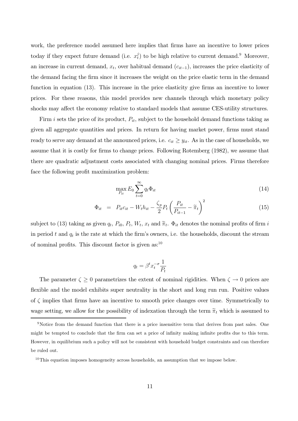work, the preference model assumed here implies that firms have an incentive to lower prices today if they expect future demand (i.e.  $x_t^j$ ) to be high relative to current demand.<sup>9</sup> Moreover, an increase in current demand,  $x_t$ , over habitual demand  $(c_{it-1})$ , increases the price elasticity of the demand facing the firm since it increases the weight on the price elastic term in the demand function in equation (13). This increase in the price elasticity give firms an incentive to lower prices. For these reasons, this model provides new channels through which monetary policy shocks may affect the economy relative to standard models that assume CES-utility structures.

Firm i sets the price of its product,  $P_{it}$ , subject to the household demand functions taking as given all aggregate quantities and prices. In return for having market power, firms must stand ready to serve any demand at the announced prices, i.e.  $c_{it} \geq y_{it}$ . As in the case of households, we assume that it is costly for firms to change prices. Following Rotemberg (1982), we assume that there are quadratic adjustment costs associated with changing nominal prices. Firms therefore face the following profit maximization problem:

$$
\max_{P_{it}} E_0 \sum_{t=0}^{\infty} q_t \Phi_{it} \tag{14}
$$

$$
\Phi_{it} = P_{it}c_{it} - W_{t}h_{it} - \frac{\zeta_p}{2}P_t\left(\frac{P_{it}}{P_{it-1}} - \tilde{\pi}_t\right)^2 \tag{15}
$$

subject to (13) taking as given  $q_t$ ,  $P_{i0}$ ,  $P_t$ ,  $W_t$ ,  $x_t$  and  $\tilde{\pi}_t$ .  $\Phi_{it}$  denotes the nominal profits of firm i in period t and  $q_t$  is the rate at which the firm's owners, i.e. the households, discount the stream of nominal profits. This discount factor is given as:10

$$
q_t = \beta^t x_t^{-\sigma} \frac{1}{P_t}
$$

The parameter  $\zeta \ge 0$  parametrizes the extent of nominal rigidities. When  $\zeta \to 0$  prices are flexible and the model exhibits super neutrality in the short and long run run. Positive values of  $\zeta$  implies that firms have an incentive to smooth price changes over time. Symmetrically to wage setting, we allow for the possibility of indexation through the term  $\tilde{\pi}_t$  which is assumed to

<sup>&</sup>lt;sup>9</sup>Notice from the demand function that there is a price insensitive term that derives from past sales. One might be tempted to conclude that the firm can set a price of infinity making infinite profits due to this term. However, in equilibrium such a policy will not be consistent with household budget constraints and can therefore be ruled out.

 $10$ This equation imposes homogeneity across households, an assumption that we impose below.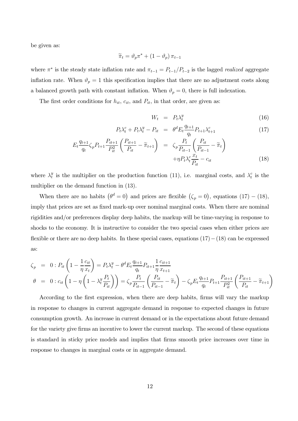be given as:

$$
\widetilde{\pi}_t = \vartheta_p \pi^* + (1 - \vartheta_p) \pi_{t-1}
$$

where  $\pi^*$  is the steady state inflation rate and  $\pi_{t-1} = P_{t-1}/P_{t-2}$  is the lagged *realized* aggregate inflation rate. When  $\vartheta_p = 1$  this specification implies that there are no adjustment costs along a balanced growth path with constant inflation. When  $\vartheta_p = 0$ , there is full indexation.

The first order conditions for  $h_{it}$ ,  $c_{it}$ , and  $P_{it}$ , in that order, are given as:

$$
W_t = P_t \lambda_t^y \tag{16}
$$

$$
P_t \lambda_t^c + P_t \lambda_t^y - P_{it} = \theta^d E_t \frac{q_{t+1}}{q_t} P_{t+1} \lambda_{t+1}^c \tag{17}
$$

$$
E_t \frac{q_{t+1}}{q_t} \zeta_p P_{t+1} \frac{P_{it+1}}{P_{it}^2} \left( \frac{P_{it+1}}{P_{it}} - \widetilde{\pi}_{t+1} \right) = \zeta_p \frac{P_t}{P_{it-1}} \left( \frac{P_{it}}{P_{it-1}} - \widetilde{\pi}_t \right) + \eta P_t \lambda_t^c \frac{x_t}{P_{it}} - c_{it}
$$
(18)

where  $\lambda_t^y$  is the multiplier on the production function (11), i.e. marginal costs, and  $\lambda_t^c$  is the multiplier on the demand function in (13).

When there are no habits  $(\theta^d = 0)$  and prices are flexible  $(\zeta_p = 0)$ , equations  $(17) - (18)$ , imply that prices are set as fixed mark-up over nominal marginal costs. When there are nominal rigidities and/or preferences display deep habits, the markup will be time-varying in response to shocks to the economy. It is instructive to consider the two special cases when either prices are flexible or there are no deep habits. In these special cases, equations  $(17)-(18)$  can be expressed as:

$$
\zeta_p = 0: P_{it} \left( 1 - \frac{1}{\eta} \frac{c_{it}}{x_t} \right) = P_t \lambda_t^y - \theta^d E_t \frac{q_{t+1}}{q_t} P_{it+1} \frac{1}{\eta} \frac{c_{it+1}}{x_{t+1}}
$$
\n
$$
\theta = 0: c_{it} \left( 1 - \eta \left( 1 - \lambda_t^y \frac{P_t}{P_{it}} \right) \right) = \zeta_p \frac{P_t}{P_{it-1}} \left( \frac{P_{it}}{P_{it-1}} - \tilde{\pi}_t \right) - \zeta_p E_t \frac{q_{t+1}}{q_t} P_{t+1} \frac{P_{it+1}}{P_{it}^2} \left( \frac{P_{it+1}}{P_{it}} - \tilde{\pi}_{t+1} \right)
$$

According to the first expression, when there are deep habits, firms will vary the markup in response to changes in current aggregate demand in response to expected changes in future consumption growth. An increase in current demand or in the expectations about future demand for the variety give firms an incentive to lower the current markup. The second of these equations is standard in sticky price models and implies that firms smooth price increases over time in response to changes in marginal costs or in aggregate demand.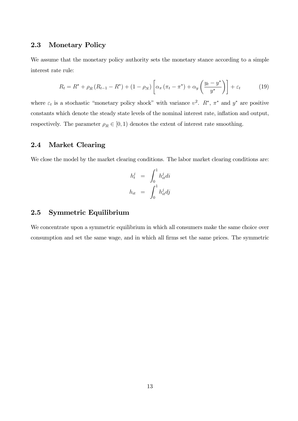#### 2.3 Monetary Policy

We assume that the monetary policy authority sets the monetary stance according to a simple interest rate rule:

$$
R_t = R^* + \rho_R (R_{t-1} - R^*) + (1 - \rho_N) \left[ \alpha_\pi (\pi_t - \pi^*) + \alpha_y \left( \frac{y_t - y^*}{y^*} \right) \right] + \varepsilon_t \tag{19}
$$

where  $\varepsilon_t$  is a stochastic "monetary policy shock" with variance  $v^2$ .  $R^*$ ,  $\pi^*$  and  $y^*$  are positive constants which denote the steady state levels of the nominal interest rate, inflation and output, respectively. The parameter  $\rho_R \in [0,1)$  denotes the extent of interest rate smoothing.

#### 2.4 Market Clearing

We close the model by the market clearing conditions. The labor market clearing conditions are:

$$
h_t^j = \int_0^1 h_{it}^j di
$$
  

$$
h_{it} = \int_0^1 h_{it}^j dj
$$

## 2.5 Symmetric Equilibrium

We concentrate upon a symmetric equilibrium in which all consumers make the same choice over consumption and set the same wage, and in which all firms set the same prices. The symmetric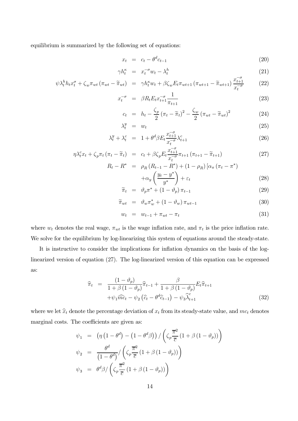equilibrium is summarized by the following set of equations:

$$
x_t = c_t - \theta^d c_{t-1} \tag{20}
$$

$$
\gamma h_t^{\kappa} = x_t^{-\sigma} w_t - \lambda_t^h \tag{21}
$$

$$
\psi \lambda_t^h h_t x_t^\sigma + \zeta_w \pi_{wt} \left( \pi_{wt} - \widetilde{\pi}_{wt} \right) = \gamma h_t^\kappa w_t + \beta \zeta_w E_t \pi_{wt+1} \left( \pi_{wt+1} - \widetilde{\pi}_{wt+1} \right) \frac{x_{t+1}^{-\sigma}}{x_t^{-\sigma}} \tag{22}
$$

$$
x_t^{-\sigma} = \beta R_t E_t x_{t+1}^{-\sigma} \frac{1}{\pi_{t+1}}
$$
 (23)

$$
c_t = h_t - \frac{\zeta_p}{2} (\pi_t - \widetilde{\pi}_t)^2 - \frac{\zeta_w}{2} (\pi_{wt} - \widetilde{\pi}_{wt})^2
$$
(24)

$$
\lambda_t^y = w_t \tag{25}
$$

$$
\lambda_t^y + \lambda_t^c = 1 + \theta^d \beta E_t \frac{x_{t+1}^{-\sigma}}{x_t^{-\sigma}} \lambda_{t+1}^c \tag{26}
$$

$$
\eta \lambda_t^c x_t + \zeta_p \pi_t (\pi_t - \widetilde{\pi}_t) = c_t + \beta \zeta_p E_t \frac{x_{t+1}^{-\sigma}}{x_t^{-\sigma}} \pi_{t+1} (\pi_{t+1} - \widetilde{\pi}_{t+1})
$$
\n(27)

$$
R_t - R^* = \rho_R (R_{t-1} - R^*) + (1 - \rho_R) [\alpha_\pi (\pi_t - \pi^*)
$$
  
 
$$
+ \alpha_y \left(\frac{y_t - y^*}{y^*}\right) + \varepsilon_t
$$
 (28)

$$
\widetilde{\pi}_t = \vartheta_p \pi^* + (1 - \vartheta_p) \pi_{t-1}
$$
\n(29)

$$
\widetilde{\pi}_{wt} = \vartheta_w \pi_w^* + (1 - \vartheta_w) \pi_{wt-1} \tag{30}
$$

$$
w_t = w_{t-1} + \pi_{wt} - \pi_t \tag{31}
$$

where  $w_t$  denotes the real wage,  $\pi_{wt}$  is the wage inflation rate, and  $\pi_t$  is the price inflation rate. We solve for the equilibrium by log-linearizing this system of equations around the steady-state.

It is instructive to consider the implications for inflation dynamics on the basis of the loglinearized version of equation (27). The log-linearized version of this equation can be expressed as:

$$
\widehat{\pi}_t = \frac{(1 - \vartheta_p)}{1 + \beta (1 - \vartheta_p)} \widehat{\pi}_{t-1} + \frac{\beta}{1 + \beta (1 - \vartheta_p)} E_t \widehat{\pi}_{t+1}
$$

$$
+ \psi_1 \widehat{mc}_t - \psi_2 (\widehat{c}_t - \theta^d \widehat{c}_{t-1}) - \psi_3 \widehat{\lambda}_{t+1}^c \tag{32}
$$

where we let  $\hat{x}_t$  denote the percentage deviation of  $x_t$  from its steady-state value, and  $mc_t$  denotes marginal costs. The coefficients are given as: μ

$$
\psi_1 = (\eta (1 - \theta^d) - (1 - \theta^d \beta)) / (\zeta_p \frac{\overline{\pi}^2}{\overline{c}} (1 + \beta (1 - \vartheta_p)))
$$
  
\n
$$
\psi_2 = \frac{\theta^d}{(1 - \theta^d)} / (\zeta_p \frac{\overline{\pi}^2}{\overline{c}} (1 + \beta (1 - \vartheta_p)))
$$
  
\n
$$
\psi_3 = \theta^d \beta / (\zeta_p \frac{\overline{\pi}^2}{\overline{c}} (1 + \beta (1 - \vartheta_p)))
$$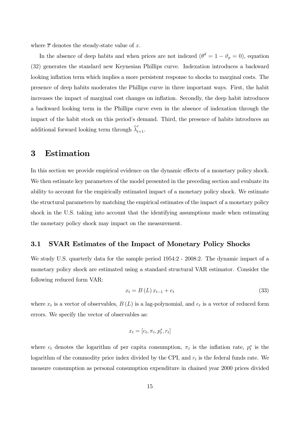where  $\bar{x}$  denotes the steady-state value of  $x$ .

In the absence of deep habits and when prices are not indexed  $(\theta^d = 1 - \vartheta_p = 0)$ , equation (32) generates the standard new Keynesian Phillips curve. Indexation introduces a backward looking inflation term which implies a more persistent response to shocks to marginal costs. The presence of deep habits moderates the Phillips curve in three important ways. First, the habit increases the impact of marginal cost changes on inflation. Secondly, the deep habit introduces a backward looking term in the Phillips curve even in the absence of indexation through the impact of the habit stock on this period's demand. Third, the presence of habits introduces an additional forward looking term through  $\widehat{\lambda}_{t+1}^c$ .

## 3 Estimation

In this section we provide empirical evidence on the dynamic effects of a monetary policy shock. We then estimate key parameters of the model presented in the preceding section and evaluate its ability to account for the empirically estimated impact of a monetary policy shock. We estimate the structural parameters by matching the empirical estimates of the impact of a monetary policy shock in the U.S. taking into account that the identifying assumptions made when estimating the monetary policy shock may impact on the measurement.

## 3.1 SVAR Estimates of the Impact of Monetary Policy Shocks

We study U.S. quarterly data for the sample period 1954:2 - 2008:2. The dynamic impact of a monetary policy shock are estimated using a standard structural VAR estimator. Consider the following reduced form VAR:

$$
x_t = B(L)x_{t-1} + e_t
$$
 (33)

where  $x_t$  is a vector of observables,  $B(L)$  is a lag-polynomial, and  $e_t$  is a vector of reduced form errors. We specify the vector of observables as:

$$
x_t = [c_t, \pi_t, p_t^s, r_t]
$$

where  $c_t$  denotes the logarithm of per capita consumption,  $\pi_t$  is the inflation rate,  $p_t^s$  is the logarithm of the commodity price index divided by the CPI, and  $r_t$  is the federal funds rate. We measure consumption as personal consumption expenditure in chained year 2000 prices divided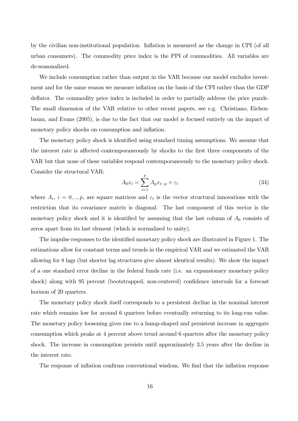by the civilian non-institutional population. Inflation is measured as the change in CPI (of all urban consumers). The commodity price index is the PPI of commodities. All variables are de-seasonalized.

We include consumption rather than output in the VAR because our model excludes investment and for the same reason we measure inflation on the basis of the CPI rather than the GDP deflator. The commodity price index is included in order to partially address the price puzzle. The small dimension of the VAR relative to other recent papers, see e.g. Christiano, Eichenbaum, and Evans (2005), is due to the fact that our model is focused entirely on the impact of monetary policy shocks on consumption and inflation.

The monetary policy shock is identified using standard timing assumptions. We assume that the interest rate is affected contemporaneously by shocks to the first three components of the VAR but that none of these variables respond contemporaneously to the monetary policy shock. Consider the structural VAR:

$$
A_0 x_t = \sum_{i=1}^p A_p x_{t-p} + \varepsilon_t \tag{34}
$$

where  $A_i$ ,  $i = 0, ..., p$ , are square matrices and  $\varepsilon_t$  is the vector structural innovations with the restriction that its covariance matrix is diagonal. The last component of this vector is the monetary policy shock and it is identified by assuming that the last column of  $A_0$  consists of zeros apart from its last element (which is normalized to unity).

The impulse responses to the identified monetary policy shock are illustrated in Figure 1. The estimations allow for constant terms and trends in the empirical VAR and we estimated the VAR allowing for 8 lags (but shorter lag structures give almost identical results). We show the impact of a one standard error decline in the federal funds rate (i.e. an expansionary monetary policy shock) along with 95 percent (bootstrapped, non-centered) confidence intervals for a forecast horizon of 20 quarters.

The monetary policy shock itself corresponds to a persistent decline in the nominal interest rate which remains low for around 6 quarters before eventually returning to its long-run value. The monetary policy loosening gives rise to a hump-shaped and persistent increase in aggregate consumption which peaks at 4 percent above trend around 6 quarters after the monetary policy shock. The increase in consumption persists until approximately 3.5 years after the decline in the interest rate.

The response of inflation confirms conventional wisdom. We find that the inflation response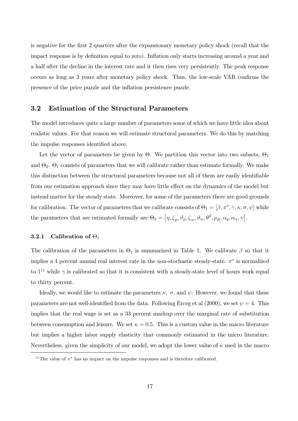is negative for the first 2 quarters after the expansionary monetary policy shock (recall that the impact response is by definition equal to zero). Inflation only starts increasing around a year and a half after the decline in the interest rate and it then rises very persistently. The peak response occurs as long as 3 years after monetary policy shock. Thus, the low-scale VAR confirms the presence of the price puzzle and the inflation persistence puzzle.

#### 3.2 Estimation of the Structural Parameters

The model introduces quite a large number of parameters some of which we have little idea about realistic values. For that reason we will estimate structural parameters. We do this by matching the impulse responses identified above.

Let the vector of parameters be given by  $\Theta$ . We partition this vector into two subsets,  $\Theta_1$ and  $\Theta_2$ .  $\Theta_1$  consists of parameters that we will calibrate rather than estimate formally. We make this distinction between the structural parameters because not all of them are easily identifiable from our estimation approach since they may have little effect on the dynamics of the model but instead matter for the steady state. Moreover, for some of the parameters there are good grounds for calibration. The vector of parameters that we calibrate consists of  $\Theta_1 = [\beta, \pi^*, \gamma, \kappa, \sigma, \psi]$  while the parameters that are estimated formally are  $\Theta_2 = [\eta, \zeta_p, \vartheta_p, \zeta_w, \vartheta_w, \theta^d, \rho_R, \alpha_y, \alpha_\pi, \upsilon].$ 

#### **3.2.1** Calibration of  $\Theta_1$

The calibration of the parameters in  $\Theta_1$  is summarized in Table 1. We calibrate  $\beta$  so that it implies a 4 percent annual real interest rate in the non-stochastic steady-state.  $\pi^*$  is normalized to  $1^{11}$  while  $\gamma$  is calibrated so that it is consistent with a steady-state level of hours work equal to thirty percent.

Ideally, we would like to estimate the parameters  $\kappa$ ,  $\sigma$ , and  $\psi$ . However, we found that these parameters are not well-identified from the data. Following Erceg et al (2000), we set  $\psi = 4$ . This implies that the real wage is set as a 33 percent markup over the marginal rate of substitution between consumption and leisure. We set  $\kappa = 0.5$ . This is a custom value in the macro literature but implies a higher labor supply elasticity that commonly estimated in the micro literature. Nevertheless, given the simplicity of our model, we adopt the lower value of  $\kappa$  used in the macro

<sup>&</sup>lt;sup>11</sup>The value of  $\pi^*$  has no impact on the impulse responses and is therefore calibrated.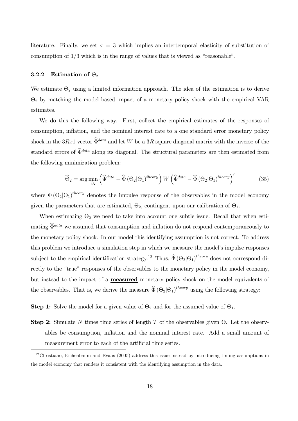literature. Finally, we set  $\sigma = 3$  which implies an intertemporal elasticity of substitution of consumption of 1/3 which is in the range of values that is viewed as "reasonable".

#### 3.2.2 Estimation of  $\Theta_2$

We estimate  $\Theta_2$  using a limited information approach. The idea of the estimation is to derive  $\Theta_2$  by matching the model based impact of a monetary policy shock with the empirical VAR estimates.

We do this the following way. First, collect the empirical estimates of the responses of consumption, inflation, and the nominal interest rate to a one standard error monetary policy shock in the 3Rx1 vector  $\widehat{\Phi}^{data}$  and let W be a 3R square diagonal matrix with the inverse of the standard errors of  $\widehat{\Phi}^{data}$  along its diagonal. The structural parameters are then estimated from the following minimization problem:

$$
\widehat{\Theta}_2 = \arg\min_{\Theta_2} \left( \widehat{\Phi}^{data} - \widehat{\Phi} \left( \Theta_2 | \Theta_1 \right)^{theory} \right) W \left( \widehat{\Phi}^{data} - \widehat{\Phi} \left( \Theta_2 | \Theta_1 \right)^{theory} \right)'
$$
(35)

where  $\Phi(\Theta_2|\Theta_1)^{theory}$  denotes the impulse response of the observables in the model economy given the parameters that are estimated,  $\Theta_2$ , contingent upon our calibration of  $\Theta_1$ .

When estimating  $\Theta_2$  we need to take into account one subtle issue. Recall that when estimating  $\widehat{\Phi}^{data}$  we assumed that consumption and inflation do not respond contemporaneously to the monetary policy shock. In our model this identifying assumption is not correct. To address this problem we introduce a simulation step in which we measure the model's impulse responses subject to the empirical identification strategy.<sup>12</sup> Thus,  $\widehat{\Phi}(\Theta_2|\Theta_1)^{theory}$  does not correspond directly to the "true" responses of the observables to the monetary policy in the model economy, but instead to the impact of a measured monetary policy shock on the model equivalents of the observables. That is, we derive the measure  $\hat{\Phi} (\Theta_2 | \Theta_1)^{theory}$  using the following strategy:

**Step 1:** Solve the model for a given value of  $\Theta_2$  and for the assumed value of  $\Theta_1$ .

Step 2: Simulate N times time series of length T of the observables given  $\Theta$ . Let the observables be consumption, inflation and the nominal interest rate. Add a small amount of measurement error to each of the artificial time series.

<sup>&</sup>lt;sup>12</sup>Christiano, Eichenbaum and Evans (2005) address this issue instead by introducing timing assumptions in the model economy that renders it consistent with the identifying assumption in the data.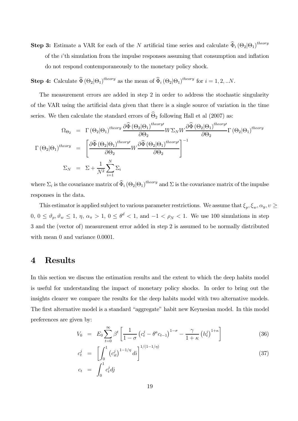**Step 3:** Estimate a VAR for each of the N artificial time series and calculate  $\hat{\Phi}_i (\Theta_2 | \Theta_1)^{theory}$ of the  $i$ <sup>th</sup> simulation from the impulse responses assuming that consumption and inflation do not respond contemporaneously to the monetary policy shock.

**Step 4:** Calculate  $\widehat{\Phi} (\Theta_2 | \Theta_1)^{theory}$  as the mean of  $\widehat{\Phi}_i (\Theta_2 | \Theta_1)^{theory}$  for  $i = 1, 2, ...N$ .

The measurement errors are added in step 2 in order to address the stochastic singularity of the VAR using the artificial data given that there is a single source of variation in the time series. We then calculate the standard errors of  $\widehat{\Theta}_2$  following Hall et al (2007) as:

$$
\Omega_{\Theta_2} = \Gamma(\Theta_2|\Theta_1)^{theory} \frac{\partial \widehat{\Phi}(\Theta_2|\Theta_1)^{theory}}{\partial \Theta_2} W \Sigma_N W \frac{\partial \widehat{\Phi}(\Theta_2|\Theta_1)^{theory}}{\partial \Theta_2} \Gamma(\Theta_2|\Theta_1)^{theory}
$$
  

$$
\Gamma(\Theta_2|\Theta_1)^{theory} = \left[ \frac{\partial \widehat{\Phi}(\Theta_2|\Theta_1)^{theory}}{\partial \Theta_2} W \frac{\partial \widehat{\Phi}(\Theta_2|\Theta_1)^{theory}}{\partial \Theta_2} \right]^{-1}
$$
  

$$
\Sigma_N = \Sigma + \frac{1}{N^2} \sum_{i=1}^N \Sigma_i
$$

where  $\Sigma_i$  is the covariance matrix of  $\widehat{\Phi}_i (\Theta_2|\Theta_1)^{theory}$  and  $\Sigma$  is the covariance matrix of the impulse responses in the data.

This estimator is applied subject to various parameter restrictions. We assume that  $\xi_p, \xi_w, \alpha_y, v \geq 1$  $0, 0 \le \vartheta_p, \vartheta_w \le 1, \eta, \alpha_{\pi} > 1, 0 \le \theta^d < 1$ , and  $-1 < \rho_N < 1$ . We use 100 simulations in step 3 and the (vector of) measurement error added in step 2 is assumed to be normally distributed with mean 0 and variance  $0.0001$ .

## 4 Results

In this section we discuss the estimation results and the extent to which the deep habits model is useful for understanding the impact of monetary policy shocks. In order to bring out the insights clearer we compare the results for the deep habits model with two alternative models. The first alternative model is a standard "aggregate" habit new Keynesian model. In this model preferences are given by:

$$
V_0 = E_0 \sum_{t=0}^{\infty} \beta^t \left[ \frac{1}{1-\sigma} \left( c_t^j - \theta^a c_{t-1} \right)^{1-\sigma} - \frac{\gamma}{1+\kappa} \left( h_t^j \right)^{1+\kappa} \right]
$$
(36)

$$
c_t^j = \left[ \int_0^1 (c_{it}^j)^{1-1/\eta} di \right]^{1/(1-1/\eta)}
$$
(37)  

$$
c_t = \int_0^1 c_t^j dj
$$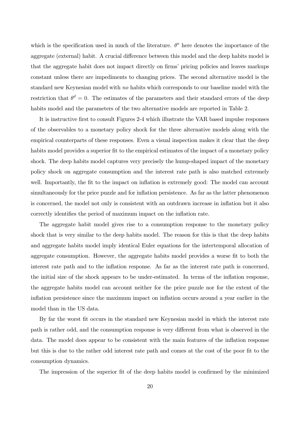which is the specification used in much of the literature.  $\theta^a$  here denotes the importance of the aggregate (external) habit. A crucial difference between this model and the deep habits model is that the aggregate habit does not impact directly on firms' pricing policies and leaves markups constant unless there are impediments to changing prices. The second alternative model is the standard new Keynesian model with no habits which corresponds to our baseline model with the restriction that  $\theta^d = 0$ . The estimates of the parameters and their standard errors of the deep habits model and the parameters of the two alternative models are reported in Table 2.

It is instructive first to consult Figures 2-4 which illustrate the VAR based impulse responses of the observables to a monetary policy shock for the three alternative models along with the empirical counterparts of these responses. Even a visual inspection makes it clear that the deep habits model provides a superior fit to the empirical estimates of the impact of a monetary policy shock. The deep habits model captures very precisely the hump-shaped impact of the monetary policy shock on aggregate consumption and the interest rate path is also matched extremely well. Importantly, the fit to the impact on inflation is extremely good: The model can account simultaneously for the price puzzle and for inflation persistence. As far as the latter phenomenon is concerned, the model not only is consistent with an outdrawn increase in inflation but it also correctly identifies the period of maximum impact on the inflation rate.

The aggregate habit model gives rise to a consumption response to the monetary policy shock that is very similar to the deep habits model. The reason for this is that the deep habits and aggregate habits model imply identical Euler equations for the intertemporal allocation of aggregate consumption. However, the aggregate habits model provides a worse fit to both the interest rate path and to the inflation response. As far as the interest rate path is concerned, the initial size of the shock appears to be under-estimated. In terms of the inflation response, the aggregate habits model can account neither for the price puzzle nor for the extent of the inflation persistence since the maximum impact on inflation occurs around a year earlier in the model than in the US data.

By far the worst fit occurs in the standard new Keynesian model in which the interest rate path is rather odd, and the consumption response is very different from what is observed in the data. The model does appear to be consistent with the main features of the inflation response but this is due to the rather odd interest rate path and comes at the cost of the poor fit to the consumption dynamics.

The impression of the superior fit of the deep habits model is confirmed by the minimized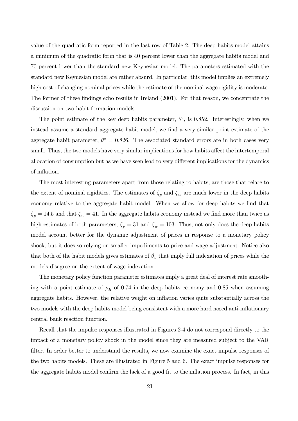value of the quadratic form reported in the last row of Table 2. The deep habits model attains a minimum of the quadratic form that is 40 percent lower than the aggregate habits model and 70 percent lower than the standard new Keynesian model. The parameters estimated with the standard new Keynesian model are rather absurd. In particular, this model implies an extremely high cost of changing nominal prices while the estimate of the nominal wage rigidity is moderate. The former of these findings echo results in Ireland (2001). For that reason, we concentrate the discussion on two habit formation models.

The point estimate of the key deep habits parameter,  $\theta^d$ , is 0.852. Interestingly, when we instead assume a standard aggregate habit model, we find a very similar point estimate of the aggregate habit parameter,  $\theta^a = 0.826$ . The associated standard errors are in both cases very small. Thus, the two models have very similar implications for how habits affect the intertemporal allocation of consumption but as we have seen lead to very different implications for the dynamics of inflation.

The most interesting parameters apart from those relating to habits, are those that relate to the extent of nominal rigidities. The estimates of  $\zeta_p$  and  $\zeta_w$  are much lower in the deep habits economy relative to the aggregate habit model. When we allow for deep habits we find that  $\zeta_p = 14.5$  and that  $\zeta_w = 41$ . In the aggregate habits economy instead we find more than twice as high estimates of both parameters,  $\zeta_p = 31$  and  $\zeta_w = 103$ . Thus, not only does the deep habits model account better for the dynamic adjustment of prices in response to a monetary policy shock, but it does so relying on smaller impediments to price and wage adjustment. Notice also that both of the habit models gives estimates of  $\vartheta_p$  that imply full indexation of prices while the models disagree on the extent of wage indexation.

The monetary policy function parameter estimates imply a great deal of interest rate smoothing with a point estimate of  $\rho_R$  of 0.74 in the deep habits economy and 0.85 when assuming aggregate habits. However, the relative weight on inflation varies quite substantially across the two models with the deep habits model being consistent with a more hard nosed anti-inflationary central bank reaction function.

Recall that the impulse responses illustrated in Figures 2-4 do not correspond directly to the impact of a monetary policy shock in the model since they are measured subject to the VAR filter. In order better to understand the results, we now examine the exact impulse responses of the two habits models. These are illustrated in Figure 5 and 6. The exact impulse responses for the aggregate habits model confirm the lack of a good fit to the inflation process. In fact, in this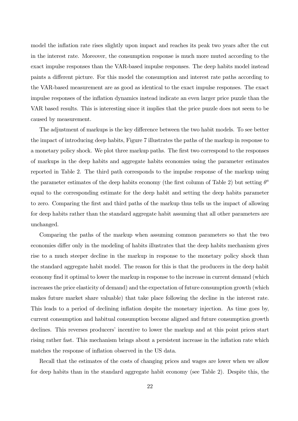model the inflation rate rises slightly upon impact and reaches its peak two years after the cut in the interest rate. Moreover, the consumption response is much more muted according to the exact impulse responses than the VAR-based impulse responses. The deep habits model instead paints a different picture. For this model the consumption and interest rate paths according to the VAR-based measurement are as good as identical to the exact impulse responses. The exact impulse responses of the inflation dynamics instead indicate an even larger price puzzle than the VAR based results. This is interesting since it implies that the price puzzle does not seem to be caused by measurement.

The adjustment of markups is the key difference between the two habit models. To see better the impact of introducing deep habits, Figure 7 illustrates the paths of the markup in response to a monetary policy shock. We plot three markup paths. The first two correspond to the responses of markups in the deep habits and aggregate habits economies using the parameter estimates reported in Table 2. The third path corresponds to the impulse response of the markup using the parameter estimates of the deep habits economy (the first column of Table 2) but setting  $\theta^a$ equal to the corresponding estimate for the deep habit and setting the deep habits parameter to zero. Comparing the first and third paths of the markup thus tells us the impact of allowing for deep habits rather than the standard aggregate habit assuming that all other parameters are unchanged.

Comparing the paths of the markup when assuming common parameters so that the two economies differ only in the modeling of habits illustrates that the deep habits mechanism gives rise to a much steeper decline in the markup in response to the monetary policy shock than the standard aggregate habit model. The reason for this is that the producers in the deep habit economy find it optimal to lower the markup in response to the increase in current demand (which increases the price elasticity of demand) and the expectation of future consumption growth (which makes future market share valuable) that take place following the decline in the interest rate. This leads to a period of declining inflation despite the monetary injection. As time goes by, current consumption and habitual consumption become aligned and future consumption growth declines. This reverses producers' incentive to lower the markup and at this point prices start rising rather fast. This mechanism brings about a persistent increase in the inflation rate which matches the response of inflation observed in the US data.

Recall that the estimates of the costs of changing prices and wages are lower when we allow for deep habits than in the standard aggregate habit economy (see Table 2). Despite this, the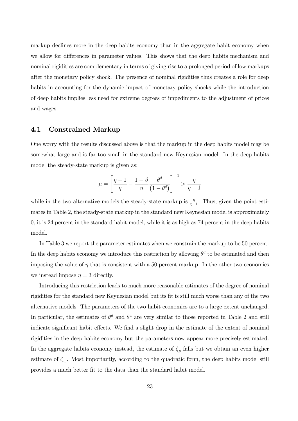markup declines more in the deep habits economy than in the aggregate habit economy when we allow for differences in parameter values. This shows that the deep habits mechanism and nominal rigidities are complementary in terms of giving rise to a prolonged period of low markups after the monetary policy shock. The presence of nominal rigidities thus creates a role for deep habits in accounting for the dynamic impact of monetary policy shocks while the introduction of deep habits implies less need for extreme degrees of impediments to the adjustment of prices and wages.

#### 4.1 Constrained Markup

One worry with the results discussed above is that the markup in the deep habits model may be somewhat large and is far too small in the standard new Keynesian model. In the deep habits model the steady-state markup is given as:

$$
\mu = \left[\frac{\eta-1}{\eta} - \frac{1-\beta}{\eta}\frac{\theta^d}{\left(1-\theta^d\right)}\right]^{-1} > \frac{\eta}{\eta-1}
$$

while in the two alternative models the steady-state markup is  $\frac{\eta}{\eta-1}$ . Thus, given the point estimates in Table 2, the steady-state markup in the standard new Keynesian model is approximately 0, it is 24 percent in the standard habit model, while it is as high as 74 percent in the deep habits model.

In Table 3 we report the parameter estimates when we constrain the markup to be 50 percent. In the deep habits economy we introduce this restriction by allowing  $\theta^d$  to be estimated and then imposing the value of  $\eta$  that is consistent with a 50 percent markup. In the other two economies we instead impose  $\eta = 3$  directly.

Introducing this restriction leads to much more reasonable estimates of the degree of nominal rigidities for the standard new Keynesian model but its fit is still much worse than any of the two alternative models. The parameters of the two habit economies are to a large extent unchanged. In particular, the estimates of  $\theta^d$  and  $\theta^a$  are very similar to those reported in Table 2 and still indicate significant habit effects. We find a slight drop in the estimate of the extent of nominal rigidities in the deep habits economy but the parameters now appear more precisely estimated. In the aggregate habits economy instead, the estimate of  $\zeta_p$  falls but we obtain an even higher estimate of  $\zeta_w$ . Most importantly, according to the quadratic form, the deep habits model still provides a much better fit to the data than the standard habit model.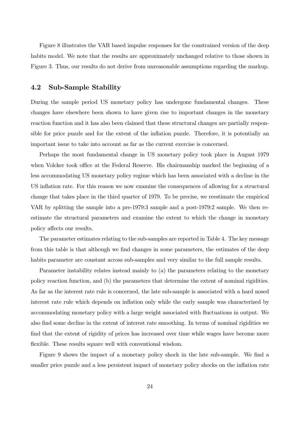Figure 8 illustrates the VAR based impulse responses for the constrained version of the deep habits model. We note that the results are approximately unchanged relative to those shown in Figure 3. Thus, our results do not derive from unreasonable assumptions regarding the markup.

#### 4.2 Sub-Sample Stability

During the sample period US monetary policy has undergone fundamental changes. These changes have elsewhere been shown to have given rise to important changes in the monetary reaction function and it has also been claimed that these structural changes are partially responsible for price puzzle and for the extent of the inflation puzzle. Therefore, it is potentially an important issue to take into account as far as the current exercise is concerned.

Perhaps the most fundamental change in US monetary policy took place in August 1979 when Volcker took office at the Federal Reserve. His chairmanship marked the beginning of a less accommodating US monetary policy regime which has been associated with a decline in the US inflation rate. For this reason we now examine the consequences of allowing for a structural change that takes place in the third quarter of 1979. To be precise, we reestimate the empirical VAR by splitting the sample into a pre-1979:3 sample and a post-1979:2 sample. We then reestimate the structural parameters and examine the extent to which the change in monetary policy affects our results.

The parameter estimates relating to the sub-samples are reported in Table 4. The key message from this table is that although we find changes in some parameters, the estimates of the deep habits parameter are constant across sub-samples and very similar to the full sample results.

Parameter instability relates instead mainly to (a) the parameters relating to the monetary policy reaction function, and (b) the parameters that determine the extent of nominal rigidities. As far as the interest rate rule is concerned, the late sub-sample is associated with a hard nosed interest rate rule which depends on inflation only while the early sample was characterized by accommodating monetary policy with a large weight associated with fluctuations in output. We also find some decline in the extent of interest rate smoothing. In terms of nominal rigidities we find that the extent of rigidity of prices has increased over time while wages have become more flexible. These results square well with conventional wisdom.

Figure 9 shows the impact of a monetary policy shock in the late sub-sample. We find a smaller price puzzle and a less persistent impact of monetary policy shocks on the inflation rate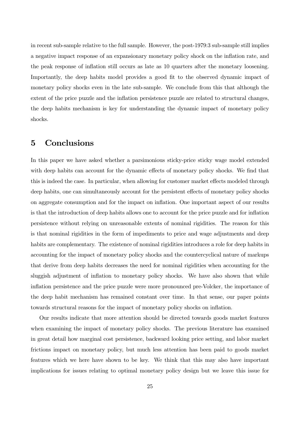in recent sub-sample relative to the full sample. However, the post-1979:3 sub-sample still implies a negative impact response of an expansionary monetary policy shock on the inflation rate, and the peak response of inflation still occurs as late as 10 quarters after the monetary loosening. Importantly, the deep habits model provides a good fit to the observed dynamic impact of monetary policy shocks even in the late sub-sample. We conclude from this that although the extent of the price puzzle and the inflation persistence puzzle are related to structural changes, the deep habits mechanism is key for understanding the dynamic impact of monetary policy shocks.

## 5 Conclusions

In this paper we have asked whether a parsimonious sticky-price sticky wage model extended with deep habits can account for the dynamic effects of monetary policy shocks. We find that this is indeed the case. In particular, when allowing for customer market effects modeled through deep habits, one can simultaneously account for the persistent effects of monetary policy shocks on aggregate consumption and for the impact on inflation. One important aspect of our results is that the introduction of deep habits allows one to account for the price puzzle and for inflation persistence without relying on unreasonable extents of nominal rigidities. The reason for this is that nominal rigidities in the form of impediments to price and wage adjustments and deep habits are complementary. The existence of nominal rigidities introduces a role for deep habits in accounting for the impact of monetary policy shocks and the countercyclical nature of markups that derive from deep habits decreases the need for nominal rigidities when accounting for the sluggish adjustment of inflation to monetary policy shocks. We have also shown that while inflation persistence and the price puzzle were more pronounced pre-Volcker, the importance of the deep habit mechanism has remained constant over time. In that sense, our paper points towards structural reasons for the impact of monetary policy shocks on inflation.

Our results indicate that more attention should be directed towards goods market features when examining the impact of monetary policy shocks. The previous literature has examined in great detail how marginal cost persistence, backward looking price setting, and labor market frictions impact on monetary policy, but much less attention has been paid to goods market features which we here have shown to be key. We think that this may also have important implications for issues relating to optimal monetary policy design but we leave this issue for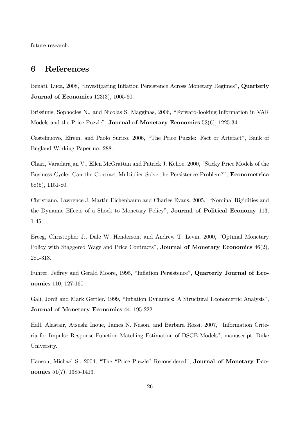future research.

## 6 References

Benati, Luca, 2008, "Investigating Inflation Persistence Across Monetary Regimes", Quarterly Journal of Economics 123(3), 1005-60.

Brissimis, Sophocles N., and Nicolas S. Magginas, 2006, "Forward-looking Information in VAR Models and the Price Puzzle", Journal of Monetary Economics 53(6), 1225-34.

Castelnuovo, Efrem, and Paolo Surico, 2006, "The Price Puzzle: Fact or Artefact", Bank of England Working Paper no. 288.

Chari, Varadarajan V., Ellen McGrattan and Patrick J. Kehoe, 2000, "Sticky Price Models of the Business Cycle: Can the Contract Multiplier Solve the Persistence Problem?", Econometrica 68(5), 1151-80.

Christiano, Lawrence J, Martin Eichenbaum and Charles Evans, 2005, "Nominal Rigidities and the Dynamic Effects of a Shock to Monetary Policy", **Journal of Political Economy** 113, 1-45.

Erceg, Christopher J., Dale W. Henderson, and Andrew T. Levin, 2000, "Optimal Monetary Policy with Staggered Wage and Price Contracts", **Journal of Monetary Economics** 46(2), 281-313.

Fuhrer, Jeffrey and Gerald Moore, 1995, "Inflation Persistence", Quarterly Journal of Economics 110, 127-160.

Galí, Jordi and Mark Gertler, 1999, "Inflation Dynamics: A Structural Econometric Analysis", Journal of Monetary Economics 44, 195-222.

Hall, Alastair, Atsushi Inoue, James N. Nason, and Barbara Rossi, 2007, "Information Criteria for Impulse Response Function Matching Estimation of DSGE Models", manuscript, Duke University.

Hanson, Michael S., 2004, "The "Price Puzzle" Reconsidered", Journal of Monetary Economics 51(7), 1385-1413.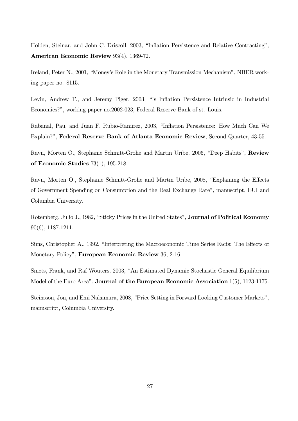Holden, Steinar, and John C. Driscoll, 2003, "Inflation Persistence and Relative Contracting", American Economic Review 93(4), 1369-72.

Ireland, Peter N., 2001, "Money's Role in the Monetary Transmission Mechanism", NBER working paper no. 8115.

Levin, Andrew T., and Jeremy Piger, 2003, "Is Inflation Persistence Intrinsic in Industrial Economies?", working paper no.2002-023, Federal Reserve Bank of st. Louis.

Rabanal, Pau, and Juan F. Rubio-Ramirez, 2003, "Inflation Persistence: How Much Can We Explain?", Federal Reserve Bank of Atlanta Economic Review, Second Quarter, 43-55.

Ravn, Morten O., Stephanie Schmitt-Grohe and Martin Uribe, 2006, "Deep Habits", Review of Economic Studies 73(1), 195-218.

Ravn, Morten O., Stephanie Schmitt-Grohe and Martin Uribe, 2008, "Explaining the Effects of Government Spending on Consumption and the Real Exchange Rate", manuscript, EUI and Columbia University.

Rotemberg, Julio J., 1982, "Sticky Prices in the United States", **Journal of Political Economy** 90(6), 1187-1211.

Sims, Christopher A., 1992, "Interpreting the Macroeconomic Time Series Facts: The Effects of Monetary Policy", European Economic Review 36, 2-16.

Smets, Frank, and Raf Wouters, 2003, "An Estimated Dynamic Stochastic General Equilibrium Model of the Euro Area", **Journal of the European Economic Association** 1(5), 1123-1175.

Steinsson, Jon, and Emi Nakamura, 2008, "Price Setting in Forward Looking Customer Markets", manuscript, Columbia University.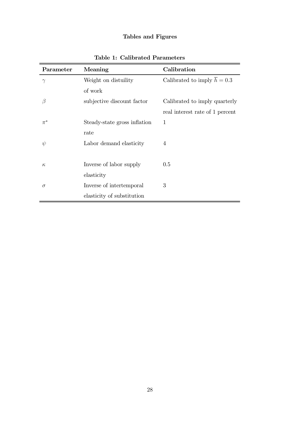# Tables and Figures

| Parameter | Meaning                      | Calibration                              |  |
|-----------|------------------------------|------------------------------------------|--|
| $\gamma$  | Weight on distuility         | Calibrated to imply $\overline{h} = 0.3$ |  |
|           | of work                      |                                          |  |
| $\beta$   | subjective discount factor   | Calibrated to imply quarterly            |  |
|           |                              | real interest rate of 1 percent          |  |
| $\pi^*$   | Steady-state gross inflation | 1                                        |  |
|           | rate                         |                                          |  |
| $\psi$    | Labor demand elasticity      | 4                                        |  |
|           |                              |                                          |  |
| $\kappa$  | Inverse of labor supply      | 0.5                                      |  |
|           | elasticity                   |                                          |  |
| $\sigma$  | Inverse of intertemporal     | 3                                        |  |
|           | elasticity of substitution   |                                          |  |

Table 1: Calibrated Parameters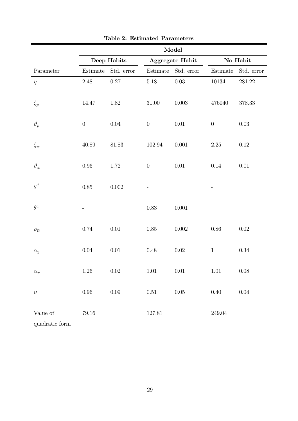|                            | Model            |            |                  |            |                  |            |
|----------------------------|------------------|------------|------------------|------------|------------------|------------|
|                            | Deep Habits      |            | Aggregate Habit  |            | No Habit         |            |
| Parameter                  | Estimate         | Std. error | Estimate         | Std. error | Estimate         | Std. error |
| $\eta$                     | $2.48\,$         | $0.27\,$   | $5.18\,$         | $0.03\,$   | 10134            | 281.22     |
| $\zeta_p$                  | 14.47            | 1.82       | $31.00\,$        | $0.003\,$  | 476040           | $378.33\,$ |
| $\vartheta_p$              | $\boldsymbol{0}$ | $0.04\,$   | $\boldsymbol{0}$ | $0.01\,$   | $\boldsymbol{0}$ | $0.03\,$   |
| $\zeta_w$                  | $40.89\,$        | 81.83      | 102.94           | $0.001\,$  | $2.25\,$         | $0.12\,$   |
| $\vartheta_w$              | $0.96\,$         | 1.72       | $\boldsymbol{0}$ | $0.01\,$   | $0.14\,$         | $0.01\,$   |
| $\theta^d$                 | $0.85\,$         | $0.002\,$  |                  |            |                  |            |
| $\theta^a$                 |                  |            | 0.83             | $0.001\,$  |                  |            |
| $\rho_R$                   | $0.74\,$         | $0.01\,$   | $0.85\,$         | $0.002\,$  | $0.86\,$         | 0.02       |
| $\alpha_y$                 | $0.04\,$         | $0.01\,$   | 0.48             | $0.02\,$   | $\mathbf 1$      | $0.34\,$   |
| $\alpha_\pi$               | $1.26\,$         | $0.02\,$   | $1.01\,$         | $0.01\,$   | 1.01             | $0.08\,$   |
| $\upsilon$                 | $0.96\,$         | $0.09\,$   | $0.51\,$         | $0.05\,$   | $0.40\,$         | $0.04\,$   |
| Value of<br>quadratic form | $79.16\,$        |            | $127.81\,$       |            | $249.04\,$       |            |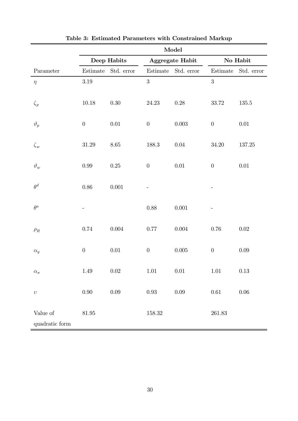|                            | Model            |            |                  |            |                                             |            |
|----------------------------|------------------|------------|------------------|------------|---------------------------------------------|------------|
|                            | Deep Habits      |            | Aggregate Habit  |            | No Habit                                    |            |
| Parameter                  | Estimate         | Std. error | Estimate         | Std. error | $\begin{array}{c} \rm Estimate \end{array}$ | Std. error |
| $\eta$                     | $3.19\,$         |            | 3                |            | 3                                           |            |
| $\zeta_p$                  | $10.18\,$        | $0.30\,$   | $24.23\,$        | $0.28\,$   | 33.72                                       | $135.5\,$  |
| $\vartheta_p$              | $\boldsymbol{0}$ | $0.01\,$   | $\boldsymbol{0}$ | $0.003\,$  | $\boldsymbol{0}$                            | $0.01\,$   |
| $\zeta_w$                  | $31.29\,$        | $8.65\,$   | $188.3\,$        | $0.04\,$   | 34.20                                       | $137.25\,$ |
| $\vartheta_w$              | $0.99\,$         | $0.25\,$   | $\boldsymbol{0}$ | $0.01\,$   | $\boldsymbol{0}$                            | $0.01\,$   |
| $\theta^d$                 | $0.86\,$         | 0.001      |                  |            |                                             |            |
| $\theta^a$                 |                  |            | $0.88\,$         | $0.001\,$  |                                             |            |
| $\rho_R$                   | $0.74\,$         | $0.004\,$  | $0.77\,$         | $0.004\,$  | 0.76                                        | 0.02       |
| $\alpha_y$                 | $\boldsymbol{0}$ | $0.01\,$   | $\boldsymbol{0}$ | $0.005\,$  | $\boldsymbol{0}$                            | $0.09\,$   |
| $\alpha_\pi$               | 1.49             | $0.02\,$   | 1.01             | $0.01\,$   | $1.01\,$                                    | $0.13\,$   |
| $\upsilon$                 | $0.90\,$         | $0.09\,$   | $0.93\,$         | $0.09\,$   | $0.61\,$                                    | $0.06\,$   |
| Value of<br>quadratic form | $81.95\,$        |            | 158.32           |            | $261.83\,$                                  |            |

|  |  |  |  | Table 3: Estimated Parameters with Constrained Markup |  |
|--|--|--|--|-------------------------------------------------------|--|
|--|--|--|--|-------------------------------------------------------|--|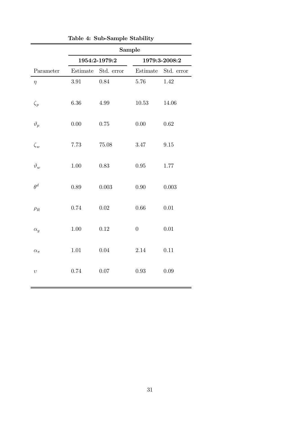|                | Sample   |                     |                  |                     |  |
|----------------|----------|---------------------|------------------|---------------------|--|
|                |          | 1954:2-1979:2       | 1979:3-2008:2    |                     |  |
| Parameter      |          | Estimate Std. error |                  | Estimate Std. error |  |
| $\eta$         | 3.91     | $0.84\,$            | 5.76             | 1.42                |  |
| $\zeta_p$      | 6.36     | $4.99\,$            | 10.53            | 14.06               |  |
| $\vartheta_p$  | $0.00\,$ | $0.75\,$            | $0.00\,$         | 0.62                |  |
| $\zeta_w$      | 7.73     | $75.08\,$           | 3.47             | 9.15                |  |
| $\vartheta_w$  | $1.00\,$ | $0.83\,$            | $0.95\,$         | $1.77\,$            |  |
| $\theta^d$     | 0.89     | $0.003\,$           | $0.90\,$         | 0.003               |  |
| $\rho_R$       | 0.74     | $0.02\,$            | $0.66\,$         | $0.01\,$            |  |
| $\alpha_y$     | $1.00\,$ | $0.12\,$            | $\boldsymbol{0}$ | $0.01\,$            |  |
| $\alpha_{\pi}$ | $1.01\,$ | 0.04                | 2.14             | 0.11                |  |
| $\upsilon$     | 0.74     | 0.07                | 0.93             | 0.09                |  |

| Table 4: Sub-Sample Stability |  |
|-------------------------------|--|
|                               |  |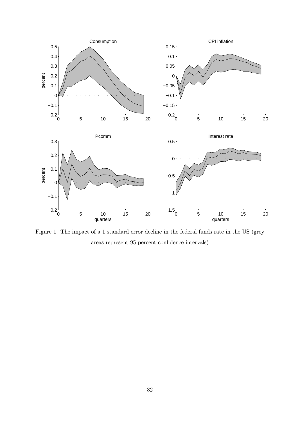

Figure 1: The impact of a 1 standard error decline in the federal funds rate in the US (grey areas represent 95 percent confidence intervals)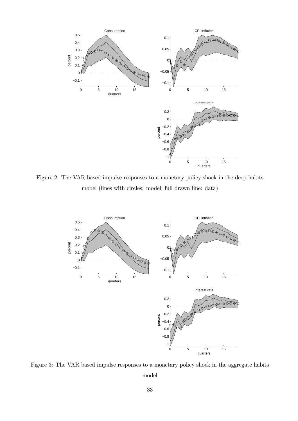

Figure 2: The VAR based impulse responses to a monetary policy shock in the deep habits model (lines with circles: model; full drawn line: data)



Figure 3: The VAR based impulse responses to a monetary policy shock in the aggregate habits model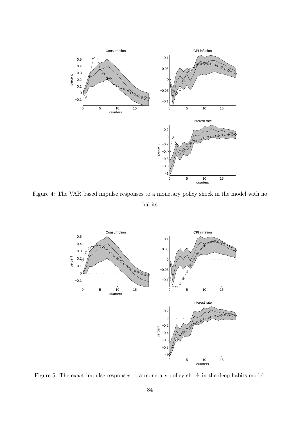

Figure 4: The VAR based impulse responses to a monetary policy shock in the model with no habits



Figure 5: The exact impulse responses to a monetary policy shock in the deep habits model.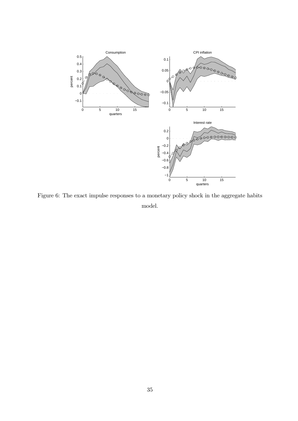

Figure 6: The exact impulse responses to a monetary policy shock in the aggregate habits model.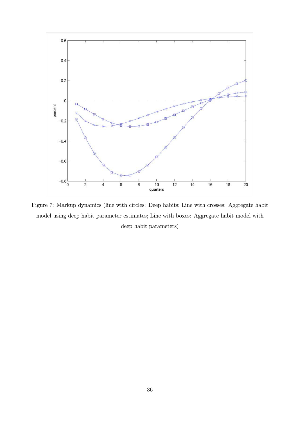

Figure 7: Markup dynamics (line with circles: Deep habits; Line with crosses: Aggregate habit model using deep habit parameter estimates; Line with boxes: Aggregate habit model with deep habit parameters)